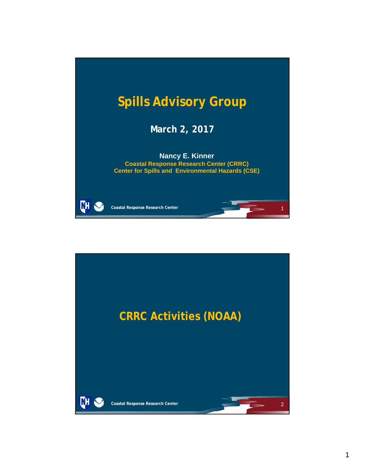

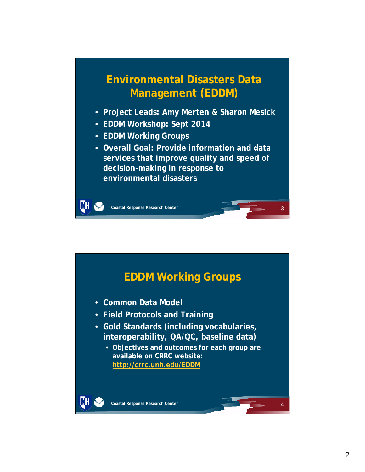## **Environmental Disasters Data Management (EDDM)**

- **Project Leads: Amy Merten & Sharon Mesick**
- **EDDM Workshop: Sept 2014**
- **EDDM Working Groups**
- **Overall Goal: Provide information and data services that improve quality and speed of decision-making in response to environmental disasters**

3

**Coastal Response Research Center**

WН

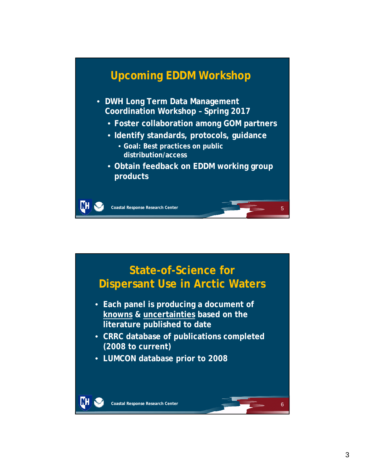### **Upcoming EDDM Workshop** • **DWH Long Term Data Management Coordination Workshop – Spring 2017** • **Foster collaboration among GOM partners** • **Identify standards, protocols, guidance** • **Goal: Best practices on public distribution/access** • **Obtain feedback on EDDM working group products** ŒН **Coastal Response Research Center** 5

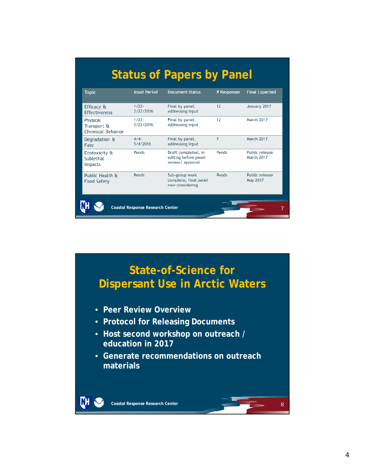| <b>Topic</b>                                 | <b>Input Period</b>   | <b>Document Status</b>                                          | # Responses    | <b>Final Expected</b>        |
|----------------------------------------------|-----------------------|-----------------------------------------------------------------|----------------|------------------------------|
| Efficacy &<br><b>Effectiveness</b>           | $1/77 -$<br>2/22/2016 | Final by panel,<br>addressing input                             | 12             | January 2017                 |
| Physical<br>Transport &<br>Chemical Behavior | $1/22 -$<br>2/22/2016 | Final by panel,<br>addressing input                             | 12             | March 2017                   |
| Degradation &<br>Fate                        | $4/4-$<br>5/4/2016    | Final by panel,<br>addressing input                             | $\overline{7}$ | <b>March 2017</b>            |
| Ecotoxicity &<br>Sublethal<br><b>Impacts</b> | Pends                 | Draft completed, in<br>editing before panel<br>review/ approval | Pends          | Public release<br>March 2017 |
| Public Health &<br><b>Food Safety</b>        | Pends                 | Sub-group work<br>complete, final panel<br>now considering      | Pends          | Public release<br>May 2017   |

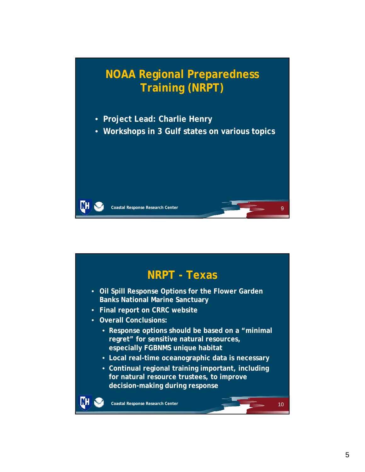

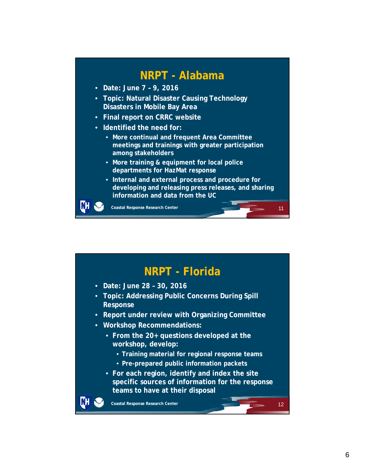#### **NRPT - Alabama**

- **Date: June 7 9, 2016**
- **Topic: Natural Disaster Causing Technology Disasters in Mobile Bay Area**
- **Final report on CRRC website**
- **Identified the need for:**
	- **More continual and frequent Area Committee meetings and trainings with greater participation among stakeholders**
	- **More training & equipment for local police departments for HazMat response**
	- **Internal and external process and procedure for developing and releasing press releases, and sharing information and data from the UC**

11

LШ

**Coastal Response Research Center**

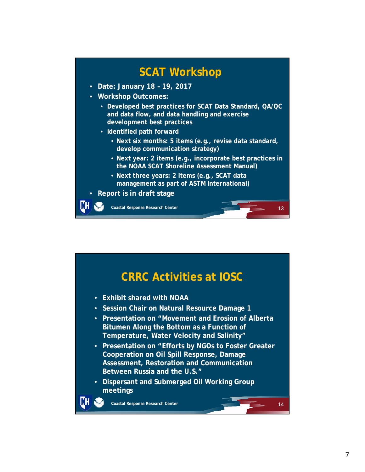## **SCAT Workshop**

- **Date: January 18 19, 2017**
- **Workshop Outcomes:**
	- **Developed best practices for SCAT Data Standard, QA/QC and data flow, and data handling and exercise development best practices**
	- **Identified path forward**
		- **Next six months: 5 items (e.g., revise data standard, develop communication strategy)**
		- **Next year: 2 items (e.g., incorporate best practices in the NOAA SCAT Shoreline Assessment Manual)**

13

- **Next three years: 2 items (e.g., SCAT data management as part of ASTM International)**
- **Report is in draft stage**

**Coastal Response Research Center**

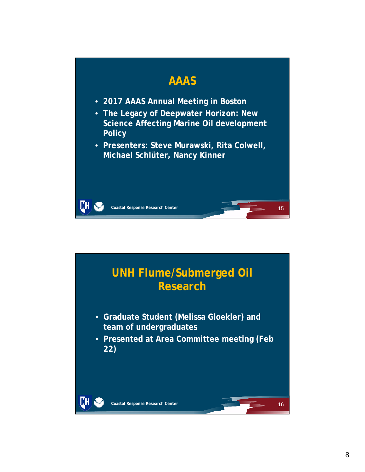

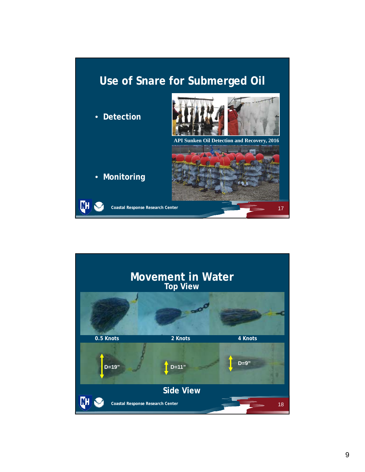

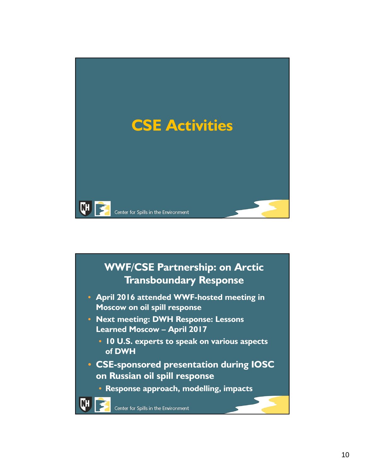

# **WWF/CSE Partnership: on Arctic Transboundary Response** • **April 2016 attended WWF-hosted meeting in Moscow on oil spill response** • **Next meeting: DWH Response: Lessons Learned Moscow – April 2017** • **10 U.S. experts to speak on various aspects of DWH** • **CSE-sponsored presentation during IOSC on Russian oil spill response** • **Response approach, modelling, impacts**Center for Spills in the Environment